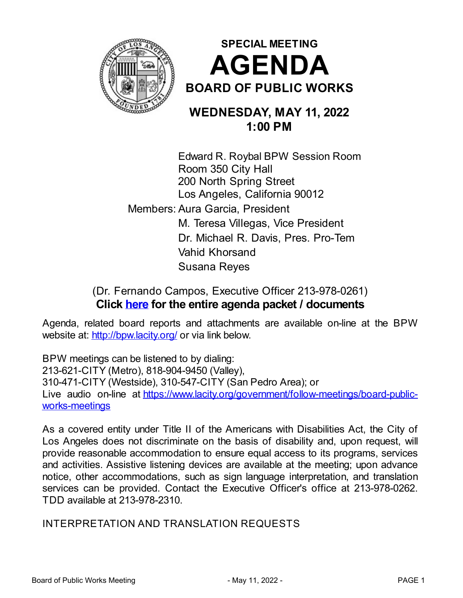



# **WEDNESDAY, MAY 11, 2022 1:00 PM**

Edward R. Roybal BPW Session Room Room 350 City Hall 200 North Spring Street Los Angeles, California 90012 Members: Aura Garcia, President M. Teresa Villegas, Vice President Dr. Michael R. Davis, Pres. Pro-Tem Vahid Khorsand Susana Reyes

# (Dr. Fernando Campos, Executive Officer 213-978-0261) **Click [here](http://cityclerk.lacity.org/councilagenda/Meetingsgeneral.aspx?Meetingtype=16) for the entire agenda packet / documents**

Agenda, related board reports and attachments are available on-line at the BPW website at: <http://bpw.lacity.org/> or via link below.

BPW meetings can be listened to by dialing: 213-621-CITY (Metro), 818-904-9450 (Valley), 310-471-CITY (Westside), 310-547-CITY (San Pedro Area); or Live audio on-line at [https://www.lacity.org/government/follow-meetings/board-public](https://www.lacity.org/government/follow-meetings/board-public-works-meetings)works-meetings

As a covered entity under Title II of the Americans with Disabilities Act, the City of Los Angeles does not discriminate on the basis of disability and, upon request, will provide reasonable accommodation to ensure equal access to its programs, services and activities. Assistive listening devices are available at the meeting; upon advance notice, other accommodations, such as sign language interpretation, and translation services can be provided. Contact the Executive Officer's office at 213-978-0262. TDD available at 213-978-2310.

INTERPRETATION AND TRANSLATION REQUESTS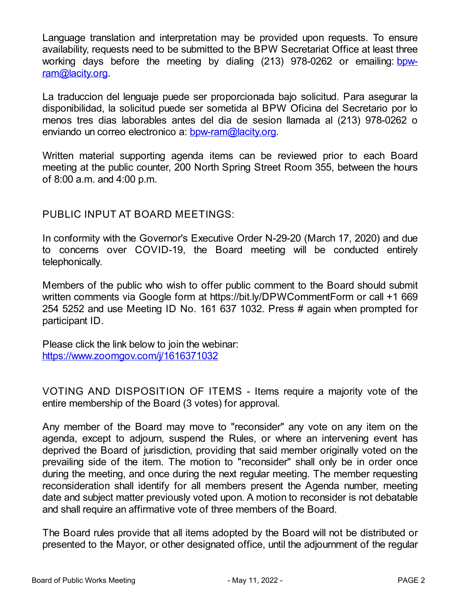Language translation and interpretation may be provided upon requests. To ensure availability, requests need to be submitted to the BPW Secretariat Office at least three working days before the meeting by dialing (213) 978-0262 or emailing bow[ram@lacity.org.](mailto:bpw-ram@lacity.org)

La traduccion del lenguaje puede ser proporcionada bajo solicitud. Para asegurar la disponibilidad, la solicitud puede ser sometida al BPW Oficina del Secretario por lo menos tres dias laborables antes del dia de sesion llamada al (213) 978-0262 o enviando un correo electronico a: **[bpw-ram@lacity.org](mailto:bpw-ram@lacity.org)**.

Written material supporting agenda items can be reviewed prior to each Board meeting at the public counter, 200 North Spring Street Room 355, between the hours of 8:00 a.m. and 4:00 p.m.

### PUBLIC INPUT AT BOARD MEETINGS:

In conformity with the Governor's Executive Order N-29-20 (March 17, 2020) and due to concerns over COVID-19, the Board meeting will be conducted entirely telephonically.

Members of the public who wish to offer public comment to the Board should submit written comments via Google form at https://bit.ly/DPWCommentForm or call +1 669 254 5252 and use Meeting ID No. 161 637 1032. Press # again when prompted for participant ID.

Please click the link below to join the webinar: <https://www.zoomgov.com/j/1616371032>

VOTING AND DISPOSITION OF ITEMS - Items require a majority vote of the entire membership of the Board (3 votes) for approval.

Any member of the Board may move to "reconsider" any vote on any item on the agenda, except to adjourn, suspend the Rules, or where an intervening event has deprived the Board of jurisdiction, providing that said member originally voted on the prevailing side of the item. The motion to "reconsider" shall only be in order once during the meeting, and once during the next regular meeting. The member requesting reconsideration shall identify for all members present the Agenda number, meeting date and subject matter previously voted upon. A motion to reconsider is not debatable and shall require an affirmative vote of three members of the Board.

The Board rules provide that all items adopted by the Board will not be distributed or presented to the Mayor, or other designated office, until the adjournment of the regular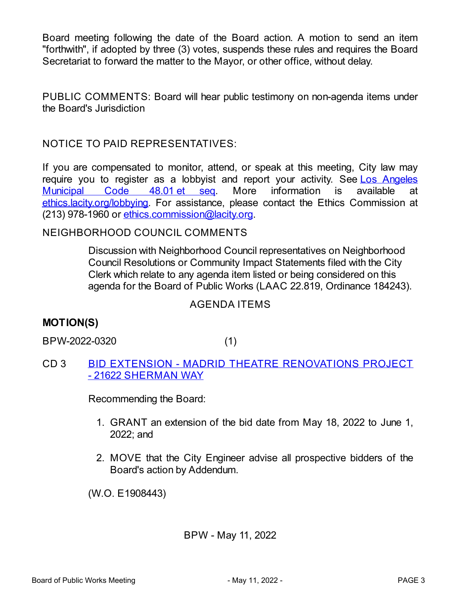Board meeting following the date of the Board action. A motion to send an item "forthwith", if adopted by three (3) votes, suspends these rules and requires the Board Secretariat to forward the matter to the Mayor, or other office, without delay.

PUBLIC COMMENTS: Board will hear public testimony on non-agenda items under the Board's Jurisdiction

NOTICE TO PAID REPRESENTATIVES:

If you are compensated to monitor, attend, or speak at this meeting, City law may require you to register as a lobbyist and report your activity. See Los Angeles Municipal Code 48.01 et [seq](https://ethics.lacity.org/wp-content/uploads/Laws-Lobbying-MLO.pdf). More [information](https://ethics.lacity.org/wp-content/uploads/Laws-Lobbying-MLO.pdf) is available at [ethics.lacity.org/lobbying](http://ethics.lacity.org/lobbying). For assistance, please contact the Ethics Commission at (213) 978-1960 or [ethics.commission@lacity.org](mailto:ethics.commission@lacity.org).

### NEIGHBORHOOD COUNCIL COMMENTS

Discussion with Neighborhood Council representatives on Neighborhood Council Resolutions or Community Impact Statements filed with the City Clerk which relate to any agenda item listed or being considered on this agenda for the Board of Public Works (LAAC 22.819, Ordinance 184243).

### AGENDA ITEMS

## **MOTION(S)**

BPW-2022-0320 (1)

CD 3 BID EXTENSION - MADRID THEATRE [RENOVATIONS](https://cityclerk.lacity.org/CouncilAgenda/CoverSheet.aspx?ItemID=121149&MeetingID=10658) PROJECT - 21622 SHERMAN WAY

Recommending the Board:

- 1. GRANT an extension of the bid date from May 18, 2022 to June 1, 2022; and
- 2. MOVE that the City Engineer advise all prospective bidders of the Board's action by Addendum.

(W.O. E1908443)

### BPW - May 11, 2022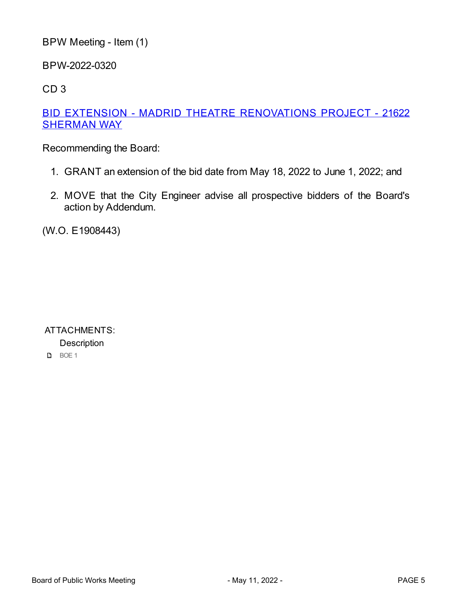```
BPW Meeting - Item (1)
```
BPW-2022-0320

CD 3

### BID EXTENSION - MADRID THEATRE [RENOVATIONS](https://cityclerk.lacity.org/CouncilAgenda/CoverSheet.aspx?ItemID=121149&MeetingID=10658) PROJECT - 21622 **SHERMAN WAY**

Recommending the Board:

- 1. GRANT an extension of the bid date from May 18, 2022 to June 1, 2022; and
- 2. MOVE that the City Engineer advise all prospective bidders of the Board's action by Addendum.

(W.O. E1908443)

ATTACHMENTS: **Description D** BOE 1